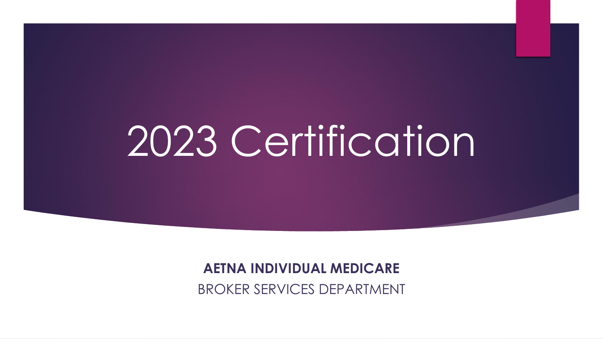# 2023 Certification

**AETNA INDIVIDUAL MEDICARE**  BROKER SERVICES DEPARTMENT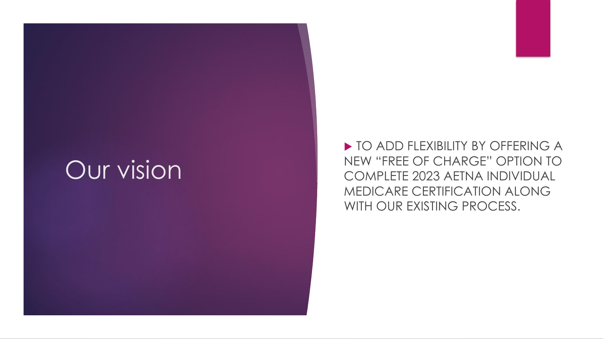## **Our vision**

▶ TO ADD FLEXIBILITY BY OFFERING A NEW "FREE OF CHARGE" OPTION TO COMPLETE 2023 AETNA INDIVIDUAL MEDICARE CERTIFICATION ALONG WITH OUR EXISTING PROCESS.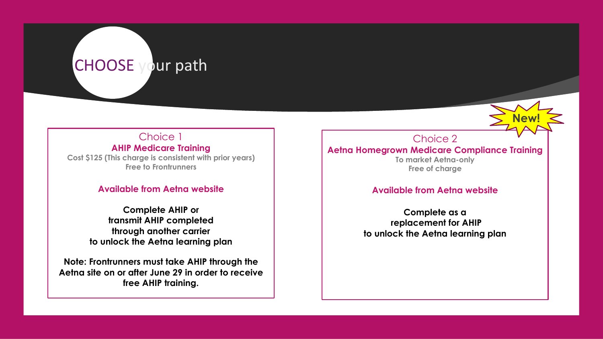### CHOOSE your path

### Choice 1

### **AHIP Medicare Training**

**Cost \$125 (This charge is consistent with prior years) Free to Frontrunners**

### **Available from Aetna website**

**Complete AHIP or transmit AHIP completed through another carrier to unlock the Aetna learning plan**

**Note: Frontrunners must take AHIP through the Aetna site on or after June 29 in order to receive free AHIP training.**

Choice 2 **Aetna Homegrown Medicare Compliance Training To market Aetna-only Free of charge**

**New!**

#### **Available from Aetna website**

**Complete as a replacement for AHIP to unlock the Aetna learning plan**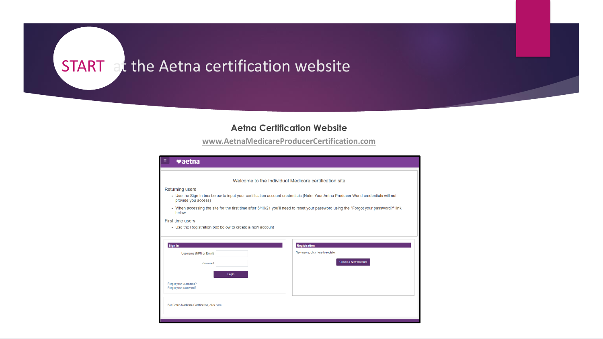### START at the Aetna certification website

#### **Aetna Certification Website**

**[www.AetnaMedicareProducerCertification.com](http://www.aetnamedicareproducercertification.com/)**

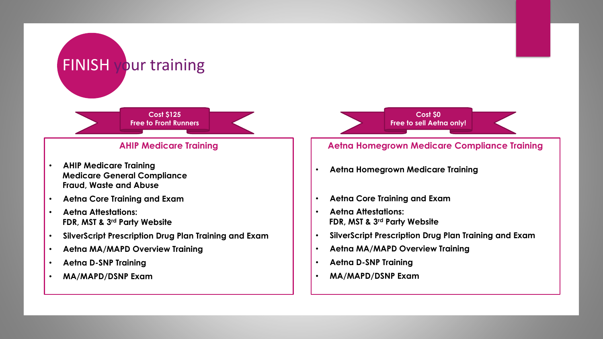#### **Cost \$125 Free to Front Runners**

### **AHIP Medicare Training**

• **AHIP Medicare Training Medicare General Compliance Fraud, Waste and Abuse**

FINISH your training

- **Aetna Core Training and Exam**
- **Aetna Attestations: FDR, MST & 3rd Party Website**
- **SilverScript Prescription Drug Plan Training and Exam**
- **Aetna MA/MAPD Overview Training**
- **Aetna D-SNP Training**
- **MA/MAPD/DSNP Exam**

**Cost \$0 Free to sell Aetna only!**

### **Aetna Homegrown Medicare Compliance Training**

- **Aetna Homegrown Medicare Training**
- **Aetna Core Training and Exam**
- **Aetna Attestations: FDR, MST & 3rd Party Website**
- **SilverScript Prescription Drug Plan Training and Exam**
- **Aetna MA/MAPD Overview Training**
- **Aetna D-SNP Training**
- **MA/MAPD/DSNP Exam**